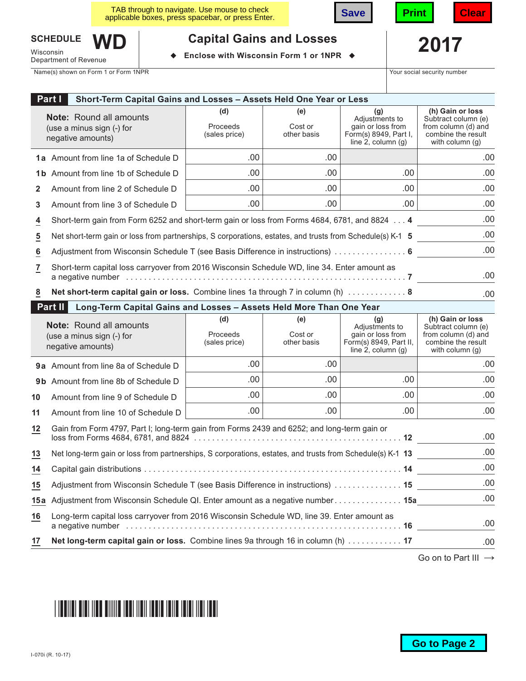| TAB through to navigate. Use mouse to check<br>applicable boxes, press spacebar, or press Enter. | save |  |
|--------------------------------------------------------------------------------------------------|------|--|
|                                                                                                  |      |  |



.00 .00 .00 .00

**(e)** Cost or other basis



**(h) Gain or loss** Subtract column (e) from column (d) and combine the result with column (g)

.00

.00 .00 .00 .00

.00

.00

# **SCHEDULE**

Wisconsin<br>Department of Revenue **WD** **2017 Capital Gains and Losses**

**Enclose with Wisconsin Form 1 or 1NPR ♦** 

Name(s) shown on Form 1 or Form 1NPR The Security number of the Security number of the Security number of the Security number

.00 .00 .00

**(g)** Adjustments to gain or loss from Form(s) 8949, Part I, line  $2$ , column  $(g)$ 

**Part I Short-Term Capital Gains and Losses – Assets Held One Year or Less** .00 **(d)** Proceeds (sales price) **Note:** Round all amounts (use a minus sign (-) for negative amounts)

- **1a** Amount from line 1a of Schedule D
- **1b** Amount from line 1b of Schedule D
- **2** Amount from line 2 of Schedule D
- **3** Amount from line 3 of Schedule D
- **4** Short-term gain from Form 6252 and short-term gain or loss from Forms 4684, 6781, and 8824 ... **4** .00

.00 .00

- **5** Net short-term gain or loss from partnerships, S corporations, estates, and trusts from Schedule(s) K-1 **5 6** Adjustment from Wisconsin Schedule T (see Basis Difference in instructions) ................ **6** .00 .00
- **7** Short-term capital loss carryover from 2016 Wisconsin Schedule WD, line 34. Enter amount as a negative number .............................................................. **7**
- **8 Net short-term capital gain or loss.** Combine lines 1a through 7 in column (h) ............. **8**

# **Part II Long-Term Capital Gains and Losses – Assets Held More Than One Year**

|         | <b>Note:</b> Round all amounts<br>(use a minus sign (-) for<br>negative amounts)                          | (d)<br>Proceeds<br>(sales price) | (e)<br>Cost or<br>other basis | (q)<br>Adjustments to<br>gain or loss from<br>Form(s) 8949, Part II,<br>line 2, column $(q)$ | (h) Gain or loss<br>Subtract column (e)<br>from column (d) and<br>combine the result<br>with column $(q)$ |
|---------|-----------------------------------------------------------------------------------------------------------|----------------------------------|-------------------------------|----------------------------------------------------------------------------------------------|-----------------------------------------------------------------------------------------------------------|
|         | <b>9a</b> Amount from line 8a of Schedule D                                                               | .00                              | .00                           |                                                                                              | .00                                                                                                       |
|         | <b>9b</b> Amount from line 8b of Schedule D                                                               | .00                              | .00                           | .00.                                                                                         | .00.                                                                                                      |
| 10      | Amount from line 9 of Schedule D                                                                          | .00                              | .00                           | .00                                                                                          | .00                                                                                                       |
| 11      | Amount from line 10 of Schedule D                                                                         | .00                              | .00                           | .00                                                                                          | .00                                                                                                       |
| $12 \,$ | Gain from Form 4797, Part I; long-term gain from Forms 2439 and 6252; and long-term gain or               |                                  |                               |                                                                                              | .00                                                                                                       |
| 13      | Net long-term gain or loss from partnerships, S corporations, estates, and trusts from Schedule(s) K-1 13 |                                  |                               |                                                                                              | .00                                                                                                       |
| 14      |                                                                                                           |                                  |                               |                                                                                              | .00.                                                                                                      |
| 15      | Adjustment from Wisconsin Schedule T (see Basis Difference in instructions)  15                           |                                  |                               |                                                                                              | .00.                                                                                                      |
| 15 a    | Adjustment from Wisconsin Schedule QI. Enter amount as a negative number 15a                              |                                  |                               |                                                                                              | .00                                                                                                       |
| 16      | Long-term capital loss carryover from 2016 Wisconsin Schedule WD, line 39. Enter amount as                |                                  |                               |                                                                                              | .00                                                                                                       |
| 17      | Net long-term capital gain or loss. Combine lines 9a through 16 in column (h)  17                         |                                  |                               |                                                                                              | .00                                                                                                       |

Go on to Part III  $\rightarrow$ 

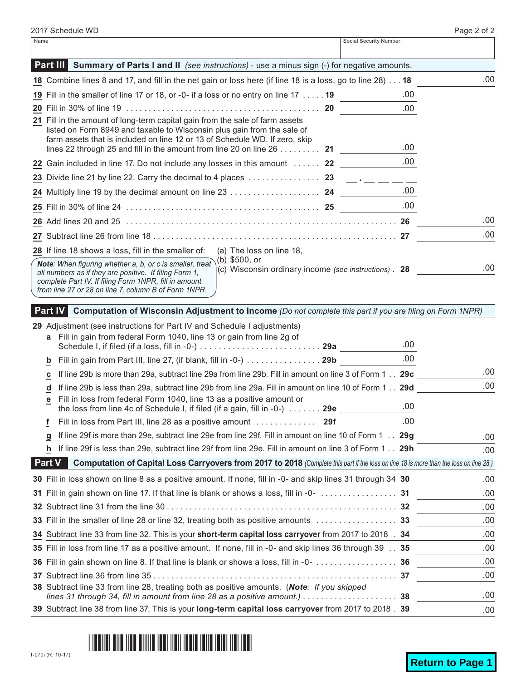| Social Security Number<br>Name                                                                                                                                                                                                                                                                                                       |      |
|--------------------------------------------------------------------------------------------------------------------------------------------------------------------------------------------------------------------------------------------------------------------------------------------------------------------------------------|------|
| <b>Part III Summary of Parts I and II</b> (see instructions) - use a minus sign (-) for negative amounts.                                                                                                                                                                                                                            |      |
| 18 Combine lines 8 and 17, and fill in the net gain or loss here (if line 18 is a loss, go to line 28) 18                                                                                                                                                                                                                            | .00  |
| 19 Fill in the smaller of line 17 or 18, or -0- if a loss or no entry on line 17 19                                                                                                                                                                                                                                                  | .00  |
|                                                                                                                                                                                                                                                                                                                                      | .00  |
| 21 Fill in the amount of long-term capital gain from the sale of farm assets<br>listed on Form 8949 and taxable to Wisconsin plus gain from the sale of<br>farm assets that is included on line 12 or 13 of Schedule WD. If zero, skip<br>lines 22 through 25 and fill in the amount from line 20 on line 26 $\dots \dots$ 21        | .00  |
| 22 Gain included in line 17. Do not include any losses in this amount  22                                                                                                                                                                                                                                                            | .00  |
| 23 Divide line 21 by line 22. Carry the decimal to 4 places $\ldots \ldots \ldots \ldots$ 23 _____ __ __ __                                                                                                                                                                                                                          |      |
|                                                                                                                                                                                                                                                                                                                                      | .00  |
|                                                                                                                                                                                                                                                                                                                                      | .00. |
|                                                                                                                                                                                                                                                                                                                                      | .00  |
|                                                                                                                                                                                                                                                                                                                                      | .00  |
| 28 If line 18 shows a loss, fill in the smaller of:<br>(a) The loss on line 18,                                                                                                                                                                                                                                                      |      |
| (b) \$500, or<br>Note: When figuring whether a, b, or c is smaller, treat<br>(c) Wisconsin ordinary income (see instructions). 28<br>all numbers as if they are positive. If filing Form 1,<br>complete Part IV. If filing Form 1NPR, fill in amount<br>from line 27 or 28 on line 7, column B of Form 1NPR.                         | .00  |
| Double $\overline{O}$ and $\overline{O}$ and $\overline{O}$ and $\overline{O}$ and $\overline{O}$ and $\overline{O}$ and $\overline{O}$ and $\overline{O}$ and $\overline{O}$ and $\overline{O}$ and $\overline{O}$ and $\overline{O}$ and $\overline{O}$ and $\overline{O}$ and $\overline{O}$ and $\overline{O}$ and $\overline{O$ |      |

# **Part IV Computation of Wisconsin Adjustment to Income** *(Do not complete this part if you are filing on Form 1NPR)*

| a             | 29 Adjustment (see instructions for Part IV and Schedule I adjustments)<br>Fill in gain from federal Form 1040, line 13 or gain from line 2g of                                                               |      |      |
|---------------|---------------------------------------------------------------------------------------------------------------------------------------------------------------------------------------------------------------|------|------|
|               |                                                                                                                                                                                                               | .00. |      |
| b             | Fill in gain from Part III, line 27, (if blank, fill in -0-) 29b                                                                                                                                              | .00  |      |
| с             | If line 29b is more than 29a, subtract line 29a from line 29b. Fill in amount on line 3 of Form 1 29c                                                                                                         |      | .00  |
| d             | If line 29b is less than 29a, subtract line 29b from line 29a. Fill in amount on line 10 of Form 1 29d                                                                                                        |      | .00  |
| е             | Fill in loss from federal Form 1040, line 13 as a positive amount or<br>the loss from line 4c of Schedule I, if filed (if a gain, fill in -0-) 29e ____                                                       | .00  |      |
| f             |                                                                                                                                                                                                               | .00  |      |
| g             | If line 29f is more than 29e, subtract line 29e from line 29f. Fill in amount on line 10 of Form 1 29g                                                                                                        |      | .00  |
| h.            | If line 29f is less than 29e, subtract line 29f from line 29e. Fill in amount on line 3 of Form 1 29h                                                                                                         |      | .00  |
| <b>Part V</b> | Computation of Capital Loss Carryovers from 2017 to 2018 (Complete this part if the loss on line 18 is more than the loss on line 28.)                                                                        |      |      |
|               | 30 Fill in loss shown on line 8 as a positive amount. If none, fill in -0- and skip lines 31 through 34 30                                                                                                    |      | .00  |
|               |                                                                                                                                                                                                               |      | .00  |
|               |                                                                                                                                                                                                               |      | .00  |
|               |                                                                                                                                                                                                               |      | .00  |
|               | 34 Subtract line 33 from line 32. This is your short-term capital loss carryover from 2017 to 2018 . 34                                                                                                       |      | .00  |
|               | 35 Fill in loss from line 17 as a positive amount. If none, fill in -0- and skip lines 36 through 39 35                                                                                                       |      | .00. |
|               |                                                                                                                                                                                                               |      | .00  |
|               |                                                                                                                                                                                                               |      | .00  |
|               | 38 Subtract line 33 from line 28, treating both as positive amounts. (Note: If you skipped<br>lines 31 through 34, fill in amount from line 28 as a positive amount.) $\ldots \ldots \ldots \ldots \ldots$ 38 |      | .00  |
|               | 39 Subtract line 38 from line 37. This is your long-term capital loss carryover from 2017 to 2018 . 39                                                                                                        |      | .00  |

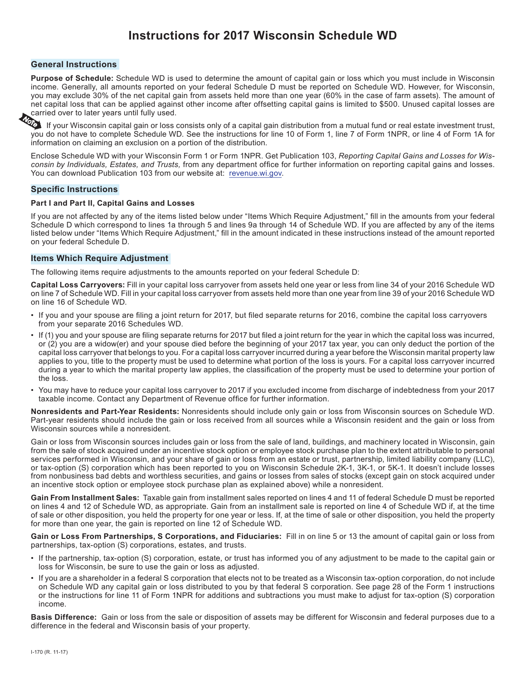# **Instructions for 2017 Wisconsin Schedule WD**

#### **General Instructions**

**Purpose of Schedule:** Schedule WD is used to determine the amount of capital gain or loss which you must include in Wisconsin income. Generally, all amounts reported on your federal Schedule D must be reported on Schedule WD. However, for Wisconsin, you may exclude 30% of the net capital gain from assets held more than one year (60% in the case of farm assets). The amount of net capital loss that can be applied against other income after offsetting capital gains is limited to \$500. Unused capital losses are carried over to later years until fully used.

If your Wisconsin capital gain or loss consists only of a capital gain distribution from a mutual fund or real estate investment trust, you do not have to complete Schedule WD. See the instructions for line 10 of Form 1, line 7 of Form 1NPR, or line 4 of Form 1A for information on claiming an exclusion on a portion of the distribution.

Enclose Schedule WD with your Wisconsin Form 1 or Form 1NPR. Get Publication 103, *Reporting Capital Gains and Losses for Wisconsin by Individuals, Estates, and Trusts,* from any department offce for further information on reporting capital gains and losses. You can download Publication 103 from our website at: [revenue.wi.gov.](https://www.revenue.wi.gov)

#### **Specific Instructions**

#### **Part I and Part II, Capital Gains and Losses**

If you are not affected by any of the items listed below under "Items Which Require Adjustment," fll in the amounts from your federal Schedule D which correspond to lines 1a through 5 and lines 9a through 14 of Schedule WD. If you are affected by any of the items listed below under "Items Which Require Adjustment," fll in the amount indicated in these instructions instead of the amount reported on your federal Schedule D.

#### **Items Which Require Adjustment**

The following items require adjustments to the amounts reported on your federal Schedule D:

**Capital Loss Carryovers:** Fill in your capital loss carryover from assets held one year or less from line 34 of your 2016 Schedule WD on line 7 of Schedule WD. Fill in your capital loss carryover from assets held more than one year from line 39 of your 2016 Schedule WD on line 16 of Schedule WD.

- If you and your spouse are fling a joint return for 2017, but fled separate returns for 2016, combine the capital loss carryovers from your separate 2016 Schedules WD.
- If (1) you and your spouse are fling separate returns for 2017 but fled a joint return for the year in which the capital loss was incurred, or (2) you are a widow(er) and your spouse died before the beginning of your 2017 tax year, you can only deduct the portion of the capital loss carryover that belongs to you. For a capital loss carryover incurred during a year before the Wisconsin marital property law applies to you, title to the property must be used to determine what portion of the loss is yours. For a capital loss carryover incurred during a year to which the marital property law applies, the classifcation of the property must be used to determine your portion of the loss.
- You may have to reduce your capital loss carryover to 2017 if you excluded income from discharge of indebtedness from your 2017 taxable income. Contact any Department of Revenue offce for further information.

**Nonresidents and Part-Year Residents:** Nonresidents should include only gain or loss from Wisconsin sources on Schedule WD. Part-year residents should include the gain or loss received from all sources while a Wisconsin resident and the gain or loss from Wisconsin sources while a nonresident.

Gain or loss from Wisconsin sources includes gain or loss from the sale of land, buildings, and machinery located in Wisconsin, gain from the sale of stock acquired under an incentive stock option or employee stock purchase plan to the extent attributable to personal services performed in Wisconsin, and your share of gain or loss from an estate or trust, partnership, limited liability company (LLC), or tax-option (S) corporation which has been reported to you on Wisconsin Schedule 2K-1, 3K-1, or 5K-1. It doesn't include losses from nonbusiness bad debts and worthless securities, and gains or losses from sales of stocks (except gain on stock acquired under an incentive stock option or employee stock purchase plan as explained above) while a nonresident.

**Gain From Installment Sales:** Taxable gain from installment sales reported on lines 4 and 11 of federal Schedule D must be reported on lines 4 and 12 of Schedule WD, as appropriate. Gain from an installment sale is reported on line 4 of Schedule WD if, at the time of sale or other disposition, you held the property for one year or less. If, at the time of sale or other disposition, you held the property for more than one year, the gain is reported on line 12 of Schedule WD.

**Gain or Loss From Partnerships, S Corporations, and Fiduciaries:** Fill in on line 5 or 13 the amount of capital gain or loss from partnerships, tax-option (S) corporations, estates, and trusts.

- If the partnership, tax-option (S) corporation, estate, or trust has informed you of any adjustment to be made to the capital gain or loss for Wisconsin, be sure to use the gain or loss as adjusted.
- If you are a shareholder in a federal S corporation that elects not to be treated as a Wisconsin tax-option corporation, do not include on Schedule WD any capital gain or loss distributed to you by that federal S corporation. See page 28 of the Form 1 instructions or the instructions for line 11 of Form 1NPR for additions and subtractions you must make to adjust for tax-option (S) corporation income.

**Basis Difference:** Gain or loss from the sale or disposition of assets may be different for Wisconsin and federal purposes due to a difference in the federal and Wisconsin basis of your property.